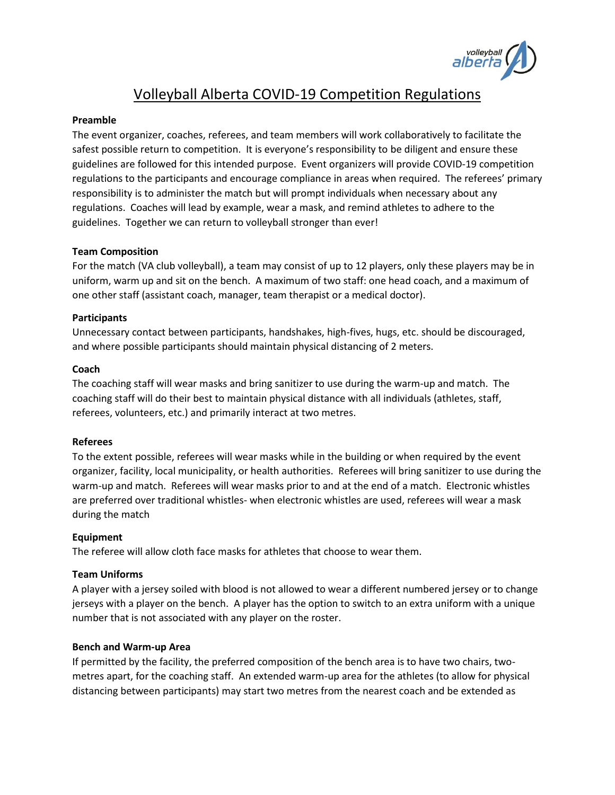

# Volleyball Alberta COVID-19 Competition Regulations

## **Preamble**

The event organizer, coaches, referees, and team members will work collaboratively to facilitate the safest possible return to competition. It is everyone's responsibility to be diligent and ensure these guidelines are followed for this intended purpose. Event organizers will provide COVID-19 competition regulations to the participants and encourage compliance in areas when required. The referees' primary responsibility is to administer the match but will prompt individuals when necessary about any regulations. Coaches will lead by example, wear a mask, and remind athletes to adhere to the guidelines. Together we can return to volleyball stronger than ever!

#### **Team Composition**

For the match (VA club volleyball), a team may consist of up to 12 players, only these players may be in uniform, warm up and sit on the bench. A maximum of two staff: one head coach, and a maximum of one other staff (assistant coach, manager, team therapist or a medical doctor).

#### **Participants**

Unnecessary contact between participants, handshakes, high-fives, hugs, etc. should be discouraged, and where possible participants should maintain physical distancing of 2 meters.

#### **Coach**

The coaching staff will wear masks and bring sanitizer to use during the warm-up and match. The coaching staff will do their best to maintain physical distance with all individuals (athletes, staff, referees, volunteers, etc.) and primarily interact at two metres.

## **Referees**

To the extent possible, referees will wear masks while in the building or when required by the event organizer, facility, local municipality, or health authorities. Referees will bring sanitizer to use during the warm-up and match. Referees will wear masks prior to and at the end of a match. Electronic whistles are preferred over traditional whistles- when electronic whistles are used, referees will wear a mask during the match

## **Equipment**

The referee will allow cloth face masks for athletes that choose to wear them.

## **Team Uniforms**

A player with a jersey soiled with blood is not allowed to wear a different numbered jersey or to change jerseys with a player on the bench. A player has the option to switch to an extra uniform with a unique number that is not associated with any player on the roster.

#### **Bench and Warm-up Area**

If permitted by the facility, the preferred composition of the bench area is to have two chairs, twometres apart, for the coaching staff. An extended warm-up area for the athletes (to allow for physical distancing between participants) may start two metres from the nearest coach and be extended as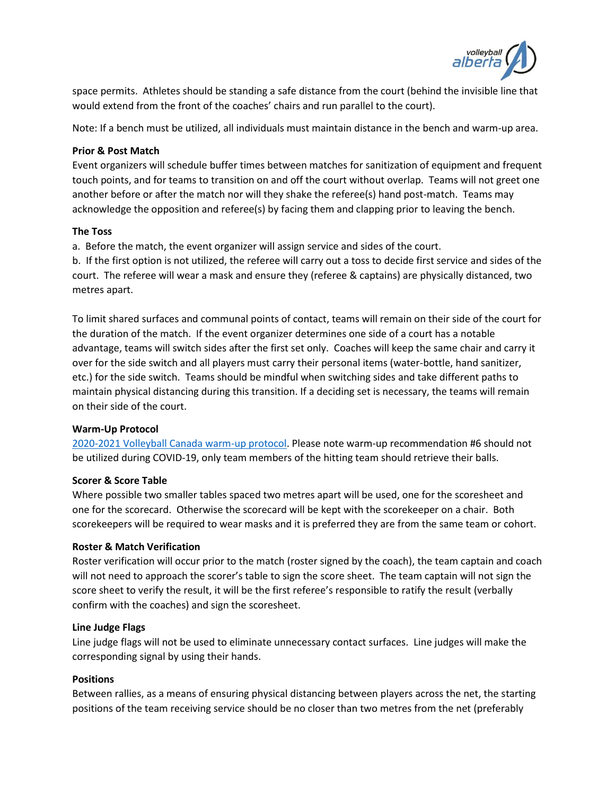

space permits. Athletes should be standing a safe distance from the court (behind the invisible line that would extend from the front of the coaches' chairs and run parallel to the court).

Note: If a bench must be utilized, all individuals must maintain distance in the bench and warm-up area.

## **Prior & Post Match**

Event organizers will schedule buffer times between matches for sanitization of equipment and frequent touch points, and for teams to transition on and off the court without overlap. Teams will not greet one another before or after the match nor will they shake the referee(s) hand post-match. Teams may acknowledge the opposition and referee(s) by facing them and clapping prior to leaving the bench.

## **The Toss**

a. Before the match, the event organizer will assign service and sides of the court.

b. If the first option is not utilized, the referee will carry out a toss to decide first service and sides of the court. The referee will wear a mask and ensure they (referee & captains) are physically distanced, two metres apart.

To limit shared surfaces and communal points of contact, teams will remain on their side of the court for the duration of the match. If the event organizer determines one side of a court has a notable advantage, teams will switch sides after the first set only. Coaches will keep the same chair and carry it over for the side switch and all players must carry their personal items (water-bottle, hand sanitizer, etc.) for the side switch. Teams should be mindful when switching sides and take different paths to maintain physical distancing during this transition. If a deciding set is necessary, the teams will remain on their side of the court.

# **Warm-Up Protocol**

[2020-2021 Volleyball Canada warm-up protocol.](https://volleyball.ca/uploads/Competitions/Nationals/2021/Policies/Warm-up_protocol_-_2021.pdf) Please note warm-up recommendation #6 should not be utilized during COVID-19, only team members of the hitting team should retrieve their balls.

## **Scorer & Score Table**

Where possible two smaller tables spaced two metres apart will be used, one for the scoresheet and one for the scorecard. Otherwise the scorecard will be kept with the scorekeeper on a chair. Both scorekeepers will be required to wear masks and it is preferred they are from the same team or cohort.

# **Roster & Match Verification**

Roster verification will occur prior to the match (roster signed by the coach), the team captain and coach will not need to approach the scorer's table to sign the score sheet. The team captain will not sign the score sheet to verify the result, it will be the first referee's responsible to ratify the result (verbally confirm with the coaches) and sign the scoresheet.

## **Line Judge Flags**

Line judge flags will not be used to eliminate unnecessary contact surfaces. Line judges will make the corresponding signal by using their hands.

# **Positions**

Between rallies, as a means of ensuring physical distancing between players across the net, the starting positions of the team receiving service should be no closer than two metres from the net (preferably